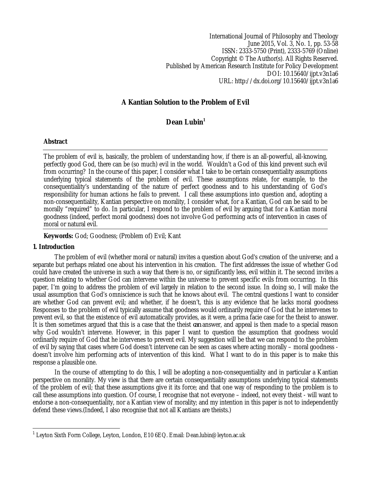International Journal of Philosophy and Theology June 2015, Vol. 3, No. 1, pp. 53-58 ISSN: 2333-5750 (Print), 2333-5769 (Online) Copyright © The Author(s). All Rights Reserved. Published by American Research Institute for Policy Development DOI: 10.15640/ijpt.v3n1a6 URL: http://dx.doi.org/10.15640/ijpt.v3n1a6

# **A Kantian Solution to the Problem of Evil**

# **Dean Lubin<sup>1</sup>**

# **Abstract**

The problem of evil is, basically, the problem of understanding how, if there is an all-powerful, all-knowing, perfectly good God, there can be (so much) evil in the world. Wouldn't a God of this kind prevent such evil from occurring? In the course of this paper, I consider what I take to be certain consequentiality assumptions underlying typical statements of the problem of evil. These assumptions relate, for example, to the consequentiality's understanding of the nature of perfect goodness and to his understanding of God's responsibility for human actions he fails to prevent. I call these assumptions into question and, adopting a non-consequentiality, Kantian perspective on morality, I consider what, for a Kantian, God can be said to be morally "required" to do. In particular, I respond to the problem of evil by arguing that for a Kantian moral goodness (indeed, perfect moral goodness) does not involve God performing acts of intervention in cases of moral or natural evil.

## **Keywords:** God; Goodness; (Problem of) Evil; Kant

### **1. Introduction**

The problem of evil (whether moral or natural) invites a question about God's creation of the universe; and a separate but perhaps related one about his intervention in his creation. The first addresses the issue of whether God could have created the universe in such a way that there is no, or significantly less, evil within it. The second invites a question relating to whether God can intervene within the universe to prevent specific evils from occurring. In this paper, I'm going to address the problem of evil largely in relation to the second issue. In doing so, I will make the usual assumption that God's omniscience is such that he knows about evil. The central questions I want to consider are whether God can prevent evil; and whether, if he doesn't, this is any evidence that he lacks moral goodness Responses to the problem of evil typically assume that goodness would ordinarily require of God that he intervenes to prevent evil, so that the existence of evil automatically provides, as it were, a prima facie case for the theist to answer. It is then sometimes argued that this is a case that the theist *can* answer, and appeal is then made to a special reason why God wouldn't intervene. However, in this paper I want to question the assumption that goodness would ordinarily require of God that he intervenes to prevent evil. My suggestion will be that we can respond to the problem of evil by saying that cases where God doesn't intervene can be seen as cases where acting morally – moral goodness doesn't involve him performing acts of intervention of this kind. What I want to do in this paper is to make this response a plausible one.

In the course of attempting to do this, I will be adopting a non-consequentiality and in particular a Kantian perspective on morality. My view is that there are certain consequentiality assumptions underlying typical statements of the problem of evil; that these assumptions give it its force; and that one way of responding to the problem is to call these assumptions into question. Of course, I recognise that not everyone – indeed, not every theist - will want to endorse a non-consequentiality, nor a Kantian view of morality; and my intention in this paper is not to independently defend these views.(Indeed, I also recognise that not all Kantians are theists.)

 $\overline{a}$ 1 Leyton Sixth Form College, Leyton, London, E10 6EQ. Email: Dean.lubin@leyton.ac.uk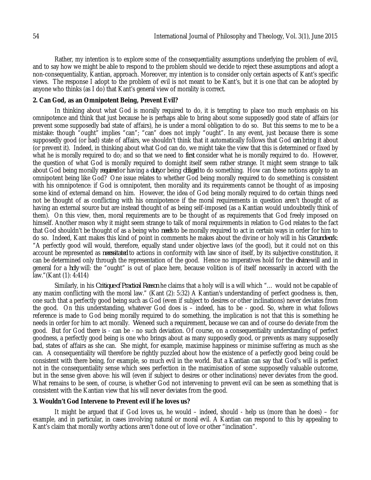Rather, my intention is to explore some of the consequentiality assumptions underlying the problem of evil, and to say how we might be able to respond to the problem should we decide to reject these assumptions and adopt a non-consequentiality, Kantian, approach. Moreover, my intention is to consider only certain aspects of Kant's specific views. The response I adopt to the problem of evil is not meant to be Kant's, but it is one that can be adopted by anyone who thinks (as I do) that Kant's general view of morality is correct.

## **2. Can God, as an Omnipotent Being, Prevent Evil?**

In thinking about what God is morally required to do, it is tempting to place too much emphasis on his omnipotence and think that just because he is perhaps able to bring about some supposedly good state of affairs (or prevent some supposedly bad state of affairs), he is under a moral obligation to do so. But this seems to me to be a mistake: though "ought" implies "can"; "can" does not imply "ought". In any event, just because there is some supposedly good (or bad) state of affairs, we shouldn't think that it automatically follows that God *can* bring it about (or prevent it). Indeed, in thinking about what God can do, we might take the view that this is determined or fixed by what he is morally required to do; and so that we need to *first* consider what he is morally required to do. However, the question of what God is morally required to domight itself seem rather strange. It might seem strange to talk about God being morally *required* or having a *duty*or being *obliged* to do something. How can these notions apply to an omnipotent being like God? One issue relates to whether God being morally required to do something is consistent with his omnipotence: if God is omnipotent, then morality and its requirements cannot be thought of as imposing some kind of external demand on him. However, the idea of God being morally required to do certain things need not be thought of as conflicting with his omnipotence if the moral requirements in question aren't thought of as having an external source but are instead thought of as being self-imposed (as a Kantian would undoubtedly think of them). On this view, then, moral requirements are to be thought of as requirements that God freely imposed on himself. Another reason why it might seem strange to talk of moral requirements in relation to God relates to the fact that God shouldn't be thought of as a being who *needs* to be morally required to act in certain ways in order for him to do so. Indeed, Kant makes this kind of point in comments he makes about the divine or holy will in his *Groundwork*: "A perfectly good will would, therefore, equally stand under objective laws (of the good), but it could not on this account be represented as *necessitated* to actions in conformity with law since of itself, by its subjective constitution, it can be determined only through the representation of the good. Hence no imperatives hold for the *divine* will and in general for a *holy* will: the "ought" is out of place here, because volition is of itself necessarily in accord with the law."(Kant (1): 4:414)

Similarly, in his *Critique of Practical Reason* he claims that a holy will is a will which "… would not be capable of any maxim conflicting with the moral law." (Kant (2): 5:32) A Kantian's understanding of perfect goodness is, then, one such that a perfectly good being such as God (even if subject to desires or other inclinations) never deviates from the good. On this understanding, whatever God does is – indeed, has to be - good. So, where in what follows reference is made to God being morally required to do something, the implication is not that this is something he needs in order for him to act morally. *We* need such a requirement, because we can and of course do deviate from the good. But for God there is - can be - no such deviation. Of course, on a consequentiality understanding of perfect goodness, a perfectly good being is one who brings about as many supposedly good, or prevents as many supposedly bad, states of affairs as she can. She might, for example, maximise happiness or minimise suffering as much as she can. A consequentiality will therefore be rightly puzzled about how the existence of a perfectly good being could be consistent with there being, for example, so much evil in the world. But a Kantian can say that God's will is perfect not in the consequentiality sense which sees perfection in the maximisation of some supposedly valuable outcome, but in the sense given above: his will (even if subject to desires or other inclinations) never deviates from the good. What remains to be seen, of course, is whether God not intervening to prevent evil can be seen as something that is consistent with the Kantian view that his will never deviates from the good.

#### **3. Wouldn't God Intervene to Prevent evil if he loves us?**

It might be argued that if God loves us, he would – indeed, should - help us (more than he does) – for example, and in particular, in cases involving natural or moral evil. A Kantian can respond to this by appealing to Kant's claim that morally worthy actions aren't done out of love or other "inclination".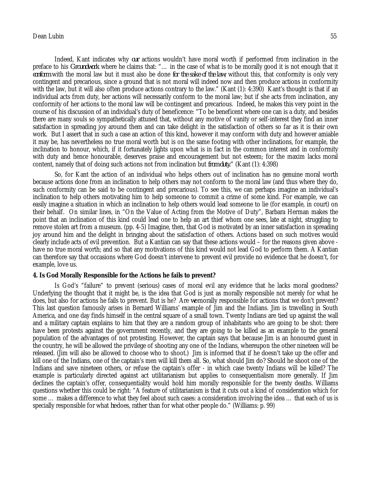# Dean Lubin 55

Indeed, Kant indicates why *our* actions wouldn't have moral worth if performed from inclination in the preface to his *Groundwork* where he claims that: "… in the case of what is to be morally good it is not enough that it *conform* with the moral law but it must also be done *for the sake of the law*; without this, that conformity is only very contingent and precarious, since a ground that is not moral will indeed now and then produce actions in conformity with the law, but it will also often produce actions contrary to the law." (Kant (1): 4:390) Kant's thought is that if an individual acts from duty, her actions will necessarily conform to the moral law; but if she acts from inclination*,* any conformity of her actions to the moral law will be contingent and precarious. Indeed, he makes this very point in the course of his discussion of an individual's duty of beneficence: "To be beneficent where one can is a duty, and besides there are many souls so sympathetically attuned that, without any motive of vanity or self-interest they find an inner satisfaction in spreading joy around them and can take delight in the satisfaction of others so far as it is their own work. But I assert that in such a case an action of this kind, however it may conform with duty and however amiable it may be, has nevertheless no true moral worth but is on the same footing with other inclinations, for example, the inclination to honour, which, if it fortunately lights upon what is in fact in the common interest and in conformity with duty and hence honourable, deserves praise and encouragement but not esteem; for the maxim lacks moral content, namely that of doing such actions not from inclination but *from duty*." (Kant (1): 4:398)

So, for Kant the action of an individual who helps others out of inclination has no genuine moral worth because actions done from an inclination to help others may not conform to the moral law (and thus where they do, such conformity can be said to be contingent and precarious). To see this, we can perhaps imagine an individual's inclination to help others motivating him to help someone to commit a crime of some kind. For example, we can easily imagine a situation in which an inclination to help others would lead someone to lie (for example, in court) on their behalf. On similar lines, in "On the Value of Acting from the Motive of Duty", Barbara Herman makes the point that an inclination of this kind could lead one to help an art thief whom one sees, late at night, struggling to remove stolen art from a museum. (pp. 4-5) Imagine, then, that God is motivated by an inner satisfaction in spreading joy around him and the delight in bringing about the satisfaction of others. Actions based on such motives would clearly include acts of evil prevention. But a Kantian can say that these actions would – for the reasons given above have no true moral worth; and so that any motivations of this kind would not lead God to perform them. A Kantian can therefore say that occasions where God doesn't intervene to prevent evil provide no evidence that he doesn't, for example, love us.

#### **4. Is God Morally Responsible for the Actions he fails to prevent?**

Is God's "failure" to prevent (serious) cases of moral evil any evidence that he lacks moral goodness? Underlying the thought that it might be, is the idea that God is just as morally responsible not merely for what he does, but also for actions he fails to prevent. But is he? Are *we* morally responsible for actions that we don't prevent? This last question famously arises in Bernard Williams' example of Jim and the Indians. Jim is travelling in South America, and one day finds himself in the central square of a small town. Twenty Indians are tied up against the wall and a military captain explains to him that they are a random group of inhabitants who are going to be shot: there have been protests against the government recently, and they are going to be killed as an example to the general population of the advantages of not protesting. However, the captain says that because Jim is an honoured guest in the country, he will be allowed the privilege of shooting any one of the Indians, whereupon the other nineteen will be released. (Jim will also be allowed to choose who to shoot.) Jim is informed that if he doesn't take up the offer and kill one of the Indians, one of the captain's men will kill them all. So, what should Jim do? Should he shoot one of the Indians and save nineteen others, or refuse the captain's offer - in which case twenty Indians will be killed? The example is particularly directed against act utilitarianism but applies to consequentialism more generally. If Jim declines the captain's offer, consequentiality would hold him morally responsible for the twenty deaths. Williams questions whether this could be right: "A feature of utilitarianism is that it cuts out a kind of consideration which for some … makes a difference to what they feel about such cases: a consideration involving the idea … that each of us is specially responsible for what *he* does, rather than for what other people do." (Williams: p. 99)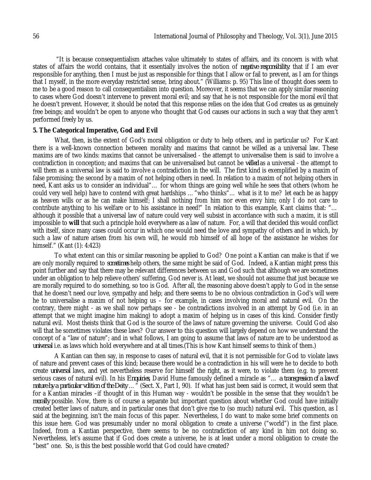"It is because consequentialism attaches value ultimately to states of affairs, and its concern is with what states of affairs the world contains, that it essentially involves the notion of *negative responsibility*: that if I am ever responsible for anything, then I must be just as responsible for things that I allow or fail to prevent, as I am for things that I myself, in the more everyday restricted sense, bring about." (Williams: p. 95) This line of thought does seem to me to be a good reason to call consequentialism into question. Moreover, it seems that we can apply similar reasoning to cases where God doesn't intervene to prevent moral evil; and say that he is not responsible for the moral evil that he doesn't prevent. However, it should be noted that this response relies on the idea that God creates us as genuinely free beings; and wouldn't be open to anyone who thought that God causes our actions in such a way that they aren't performed freely by us.

### **5. The Categorical Imperative, God and Evil**

What, then, *is* the extent of God's moral obligation or duty to help others, and in particular us? For Kant there is a well-known connection between morality and maxims that cannot be willed as a universal law. These maxims are of two kinds: maxims that cannot be universalised - the attempt to universalise them is said to involve a contradiction in conception; and maxims that can be universalised but cannot be *willed* as a universal - the attempt to will them as a universal law is said to involve a contradiction in the will. The first kind is exemplified by a maxim of false promising; the second by a maxim of not helping others in need. In relation to a maxim of not helping others in need, Kant asks us to consider an individual"… for whom things are going well while he sees that others (whom he could very well help) have to contend with great hardships …"who thinks"… what is it to me? let each be as happy as heaven wills or as he can make himself; I shall nothing from him nor even envy him; only I do not care to contribute anything to his welfare or to his assistance in need!" In relation to this example, Kant claims that: "… although it possible that a universal law of nature could very well subsist in accordance with such a maxim, it is still impossible to **will** that such a principle hold everywhere as a law of nature. For, a will that decided this would conflict with itself, since many cases could occur in which one would need the love and sympathy of others and in which, by such a law of nature arisen from his own will, he would rob himself of all hope of the assistance he wishes for himself." (Kant (1): 4:423)

To what extent can this or similar reasoning be applied to God? One point a Kantian can make is that if we are only morally required to *sometimes* help others, the same might be said of God. Indeed, a Kantian might press this point further and say that there may be relevant differences between us and God such that although we are sometimes under an obligation to help relieve others' suffering, God never is. At least, we should not assume that just because we are morally required to do something, so too is God. After all, the reasoning above doesn't apply to God in the sense that he doesn't need our love, sympathy and help; and there seems to be no obvious contradiction in God's will were he to universalise a maxim of not helping us – for example, in cases involving moral and natural evil. On the contrary, there might - as we shall now perhaps see - be contradictions involved in an attempt by God (i.e. in an attempt that we might imagine him making) to adopt a maxim of helping us in cases of this kind. Consider firstly natural evil. Most theists think that God is the source of the laws of nature governing the universe. Could God also will that he sometimes violates these laws? Our answer to this question will largely depend on how we understand the concept of a "law of nature"; and in what follows, I am going to assume that laws of nature are to be understood as *universal* i.e. as laws which hold everywhere and at all times.(This is how Kant himself seems to think of them.)

A Kantian can then say, in response to cases of natural evil, that it is not permissible for God to violate laws of nature and prevent cases of this kind; because there would be a contradiction in his will were he to decide to both create *universal* laws, and yet nevertheless reserve for himself the right, as it were, to violate them (e.g. to prevent serious cases of natural evil). In his *Enquiries*, David Hume famously defined a miracle as "… *a transgression of a law of nature by a particular volition of the Deity* …" (Sect. X, Part I, 90). If what has just been said is correct, it would seem that for a Kantian miracles –if thought of in this Human way - wouldn't be possible in the sense that they wouldn't be *morally* possible. Now, there is of course a separate but important question about whether God could have initially created better laws of nature, and in particular ones that don't give rise to (so much) natural evil. This question, as I said at the beginning, isn't the main focus of this paper. Nevertheless, I do want to make some brief comments on this issue here. God was presumably under no moral obligation to create a universe ("world") in the first place. Indeed, from a Kantian perspective, there seems to be no contradiction of any kind in him not doing so. Nevertheless, let's assume that if God does create a universe, he is at least under a moral obligation to create the "best" one. So, is this the best possible world that God could have created?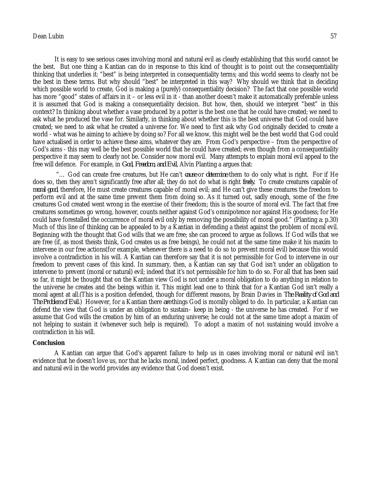# Dean Lubin 57

It is easy to see serious cases involving moral and natural evil as clearly establishing that this world cannot be the best. But one thing a Kantian can do in response to this kind of thought is to point out the consequentiality thinking that underlies it: "best" is being interpreted in consequentiality terms; and this world seems to clearly not be the best in these terms. But why should "best" be interpreted in this way? Why should we think that in deciding which possible world to create, God is making a (purely) consequentiality decision? The fact that one possible world has more "good" states of affairs in it – or less evil in it - than another doesn't make it automatically preferable unless it is assumed that God is making a consequentiality decision. But how, then, should we interpret "best" in this context? In thinking about whether a vase produced by a potter is the best one that he could have created; we need to ask what he produced the vase for. Similarly, in thinking about whether this is the best universe that God could have created; we need to ask what he created a universe for. We need to first ask why God originally decided to create a world - what was he aiming to achieve by doing so? For all we know, this might well be the best world that God could have actualised in order to achieve these aims, whatever they are. From God's perspective – from the perspective of God's aims - this may well be the best possible world that he could have created; even though from a consequentiality perspective it may seem to clearly not be. Consider now moral evil. Many attempts to explain moral evil appeal to the free will defence. For example, in *God, Freedom, and Evil*, Alvin Planting a argues that:

"… God can create free creatures, but He can't *cause* or *determine* them to do only what is right. For if He does so, then they aren't significantly free after all; they do not do what is right *freely.* To create creatures capable of *moral good*, therefore, He must create creatures capable of moral evil; and He can't give these creatures the freedom to perform evil and at the same time prevent them from doing so. As it turned out, sadly enough, some of the free creatures God created went wrong in the exercise of their freedom; this is the source of moral evil. The fact that free creatures sometimes go wrong, however, counts neither against God's omnipotence nor against His goodness; for He could have forestalled the occurrence of moral evil only by removing the possibility of moral good." (Planting a: p.30) Much of this line of thinking can be appealed to by a Kantian in defending a theist against the problem of moral evil. Beginning with the thought that God wills that we are free; she can proceed to argue as follows. If God wills that we are free (if, as most theists think, God creates us as free beings), he could not at the same time make it his maxim to intervene in our free actions(for example, whenever there is a need to do so to prevent moral evil) because this would involve a contradiction in his will. A Kantian can therefore say that it is not permissible for God to intervene in our freedom to prevent cases of this kind. In summary, then, a Kantian can say that God isn't under an obligation to intervene to prevent (moral or natural) evil; indeed that it's not permissible for him to do so. For all that has been said so far, it might be thought that on the Kantian view God is not under a moral obligation to do anything in relation to the universe he creates and the beings within it. This might lead one to think that for a Kantian God isn't really a moral agent at all.(This is a position defended, though for different reasons, by Brain Davies in *The Reality of God and The Problem of Evil*.) However, for a Kantian there *are* things God is morally obliged to do. In particular, a Kantian can defend the view that God is under an obligation to sustain– keep in being - the universe he has created. For if we assume that God wills the creation by him of an enduring universe; he could not at the same time adopt a maxim of not helping to sustain it (whenever such help is required). To adopt a maxim of not sustaining would involve a contradiction in his will.

#### **Conclusion**

A Kantian can argue that God's apparent failure to help us in cases involving moral or natural evil isn't evidence that he doesn't love us, nor that he lacks moral, indeed perfect, goodness. A Kantian can deny that the moral and natural evil in the world provides any evidence that God doesn't exist.